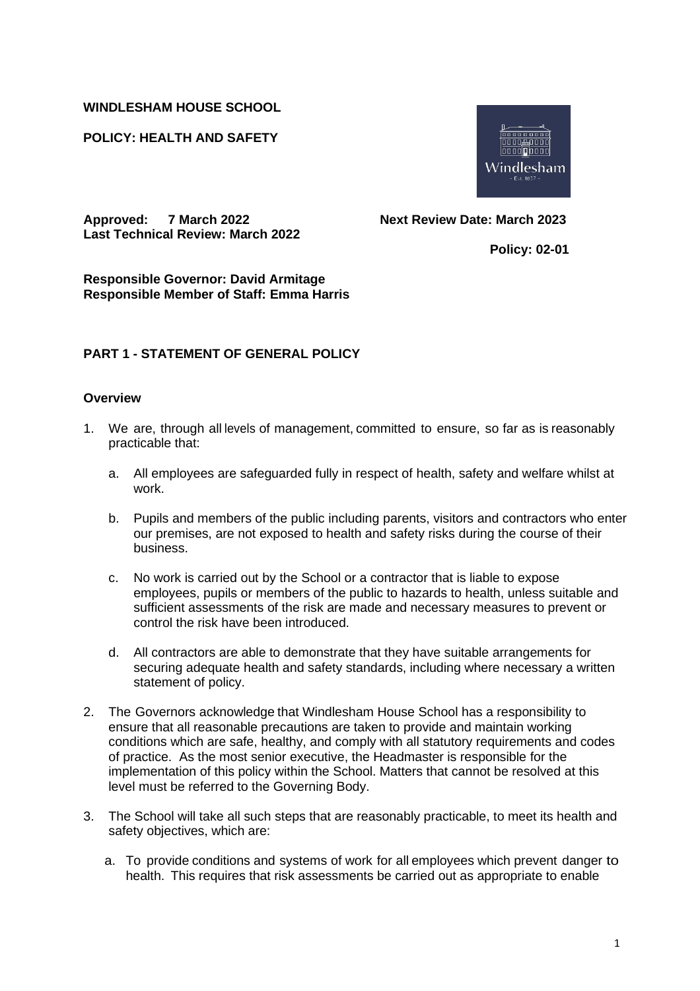#### **WINDLESHAM HOUSE SCHOOL**

#### **POLICY: HEALTH AND SAFETY**



**Approved: 7 March 2022 Next Review Date: March 2023 Last Technical Review: March 2022**

 **Policy: 02-01**

**Responsible Governor: David Armitage Responsible Member of Staff: Emma Harris**

## **PART 1 - STATEMENT OF GENERAL POLICY**

#### **Overview**

- 1. We are, through all levels of management, committed to ensure, so far as is reasonably practicable that:
	- a. All employees are safeguarded fully in respect of health, safety and welfare whilst at work.
	- b. Pupils and members of the public including parents, visitors and contractors who enter our premises, are not exposed to health and safety risks during the course of their business.
	- c. No work is carried out by the School or a contractor that is liable to expose employees, pupils or members of the public to hazards to health, unless suitable and sufficient assessments of the risk are made and necessary measures to prevent or control the risk have been introduced.
	- d. All contractors are able to demonstrate that they have suitable arrangements for securing adequate health and safety standards, including where necessary a written statement of policy.
- 2. The Governors acknowledge that Windlesham House School has a responsibility to ensure that all reasonable precautions are taken to provide and maintain working conditions which are safe, healthy, and comply with all statutory requirements and codes of practice. As the most senior executive, the Headmaster is responsible for the implementation of this policy within the School. Matters that cannot be resolved at this level must be referred to the Governing Body.
- 3. The School will take all such steps that are reasonably practicable, to meet its health and safety objectives, which are:
	- a. To provide conditions and systems of work for all employees which prevent danger to health. This requires that risk assessments be carried out as appropriate to enable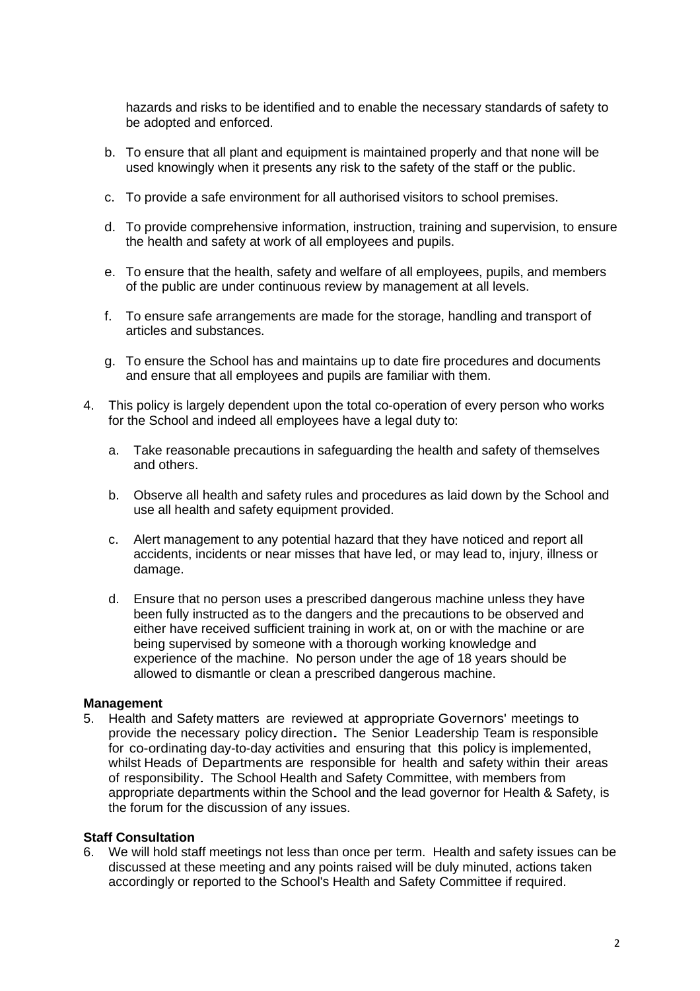hazards and risks to be identified and to enable the necessary standards of safety to be adopted and enforced.

- b. To ensure that all plant and equipment is maintained properly and that none will be used knowingly when it presents any risk to the safety of the staff or the public.
- c. To provide a safe environment for all authorised visitors to school premises.
- d. To provide comprehensive information, instruction, training and supervision, to ensure the health and safety at work of all employees and pupils.
- e. To ensure that the health, safety and welfare of all employees, pupils, and members of the public are under continuous review by management at all levels.
- f. To ensure safe arrangements are made for the storage, handling and transport of articles and substances.
- g. To ensure the School has and maintains up to date fire procedures and documents and ensure that all employees and pupils are familiar with them.
- 4. This policy is largely dependent upon the total co-operation of every person who works for the School and indeed all employees have a legal duty to:
	- a. Take reasonable precautions in safeguarding the health and safety of themselves and others.
	- b. Observe all health and safety rules and procedures as laid down by the School and use all health and safety equipment provided.
	- c. Alert management to any potential hazard that they have noticed and report all accidents, incidents or near misses that have led, or may lead to, injury, illness or damage.
	- d. Ensure that no person uses a prescribed dangerous machine unless they have been fully instructed as to the dangers and the precautions to be observed and either have received sufficient training in work at, on or with the machine or are being supervised by someone with a thorough working knowledge and experience of the machine. No person under the age of 18 years should be allowed to dismantle or clean a prescribed dangerous machine.

#### **Management**

5. Health and Safety matters are reviewed at appropriate Governors' meetings to provide the necessary policy direction. The Senior Leadership Team is responsible for co-ordinating day-to-day activities and ensuring that this policy is implemented, whilst Heads of Departments are responsible for health and safety within their areas of responsibility. The School Health and Safety Committee, with members from appropriate departments within the School and the lead governor for Health & Safety, is the forum for the discussion of any issues.

#### **Staff Consultation**

6. We will hold staff meetings not less than once per term. Health and safety issues can be discussed at these meeting and any points raised will be duly minuted, actions taken accordingly or reported to the School's Health and Safety Committee if required.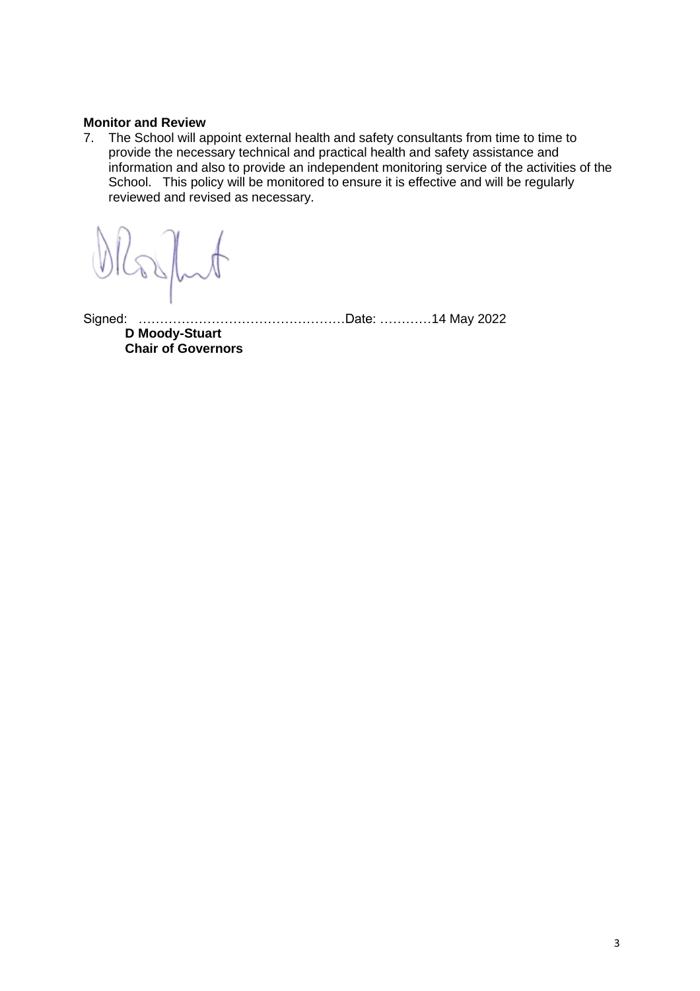#### **Monitor and Review**

7. The School will appoint external health and safety consultants from time to time to provide the necessary technical and practical health and safety assistance and information and also to provide an independent monitoring service of the activities of the School. This policy will be monitored to ensure it is effective and will be regularly reviewed and revised as necessary.

Signed: …………………………………………Date: …………14 May 2022

**D Moody-Stuart Chair of Governors**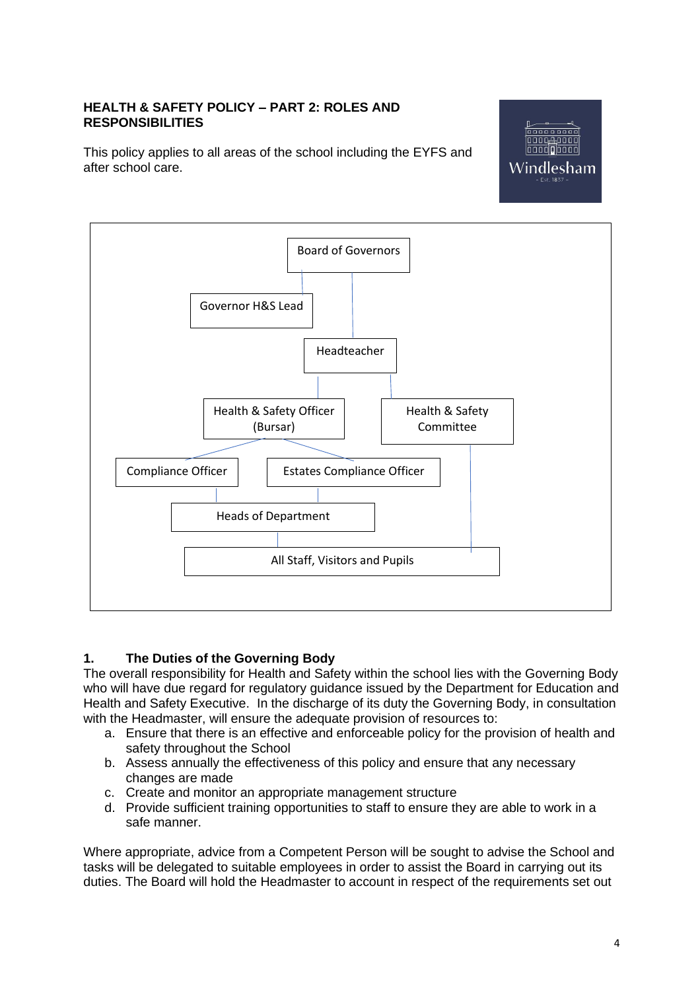## **HEALTH & SAFETY POLICY – PART 2: ROLES AND RESPONSIBILITIES**

This policy applies to all areas of the school including the EYFS and after school care.





## **1. The Duties of the Governing Body**

The overall responsibility for Health and Safety within the school lies with the Governing Body who will have due regard for regulatory guidance issued by the Department for Education and Health and Safety Executive. In the discharge of its duty the Governing Body, in consultation with the Headmaster, will ensure the adequate provision of resources to:

- a. Ensure that there is an effective and enforceable policy for the provision of health and safety throughout the School
- b. Assess annually the effectiveness of this policy and ensure that any necessary changes are made
- c. Create and monitor an appropriate management structure
- d. Provide sufficient training opportunities to staff to ensure they are able to work in a safe manner.

Where appropriate, advice from a Competent Person will be sought to advise the School and tasks will be delegated to suitable employees in order to assist the Board in carrying out its duties. The Board will hold the Headmaster to account in respect of the requirements set out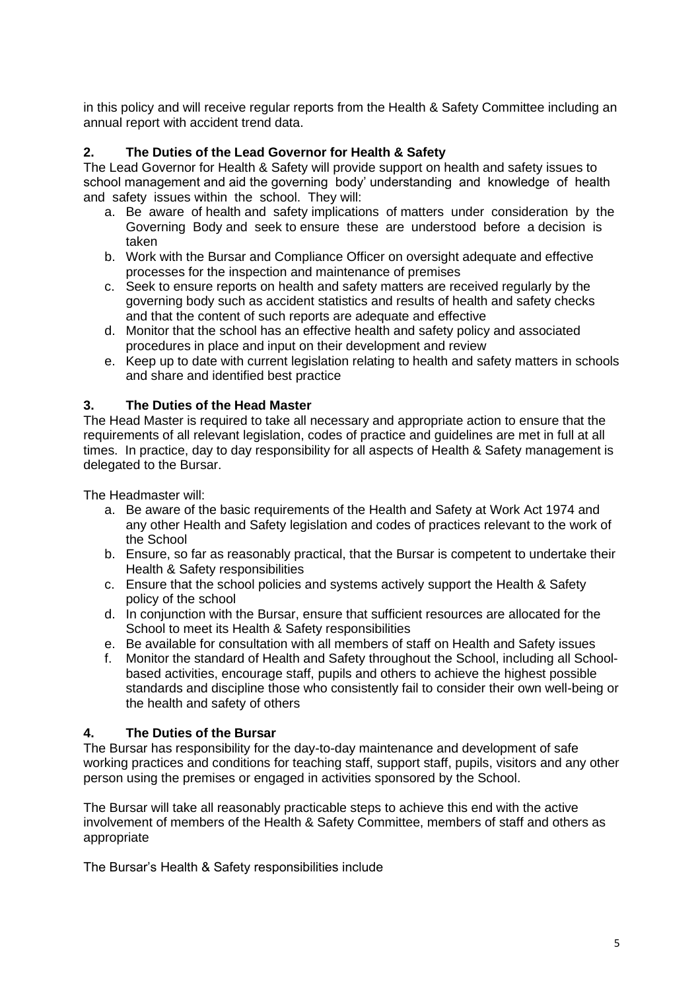in this policy and will receive regular reports from the Health & Safety Committee including an annual report with accident trend data.

# **2. The Duties of the Lead Governor for Health & Safety**

The Lead Governor for Health & Safety will provide support on health and safety issues to school management and aid the governing body' understanding and knowledge of health and safety issues within the school. They will:

- a. Be aware of health and safety implications of matters under consideration by the Governing Body and seek to ensure these are understood before a decision is taken
- b. Work with the Bursar and Compliance Officer on oversight adequate and effective processes for the inspection and maintenance of premises
- c. Seek to ensure reports on health and safety matters are received regularly by the governing body such as accident statistics and results of health and safety checks and that the content of such reports are adequate and effective
- d. Monitor that the school has an effective health and safety policy and associated procedures in place and input on their development and review
- e. Keep up to date with current legislation relating to health and safety matters in schools and share and identified best practice

## **3. The Duties of the Head Master**

The Head Master is required to take all necessary and appropriate action to ensure that the requirements of all relevant legislation, codes of practice and guidelines are met in full at all times. In practice, day to day responsibility for all aspects of Health & Safety management is delegated to the Bursar.

The Headmaster will:

- a. Be aware of the basic requirements of the Health and Safety at Work Act 1974 and any other Health and Safety legislation and codes of practices relevant to the work of the School
- b. Ensure, so far as reasonably practical, that the Bursar is competent to undertake their Health & Safety responsibilities
- c. Ensure that the school policies and systems actively support the Health & Safety policy of the school
- d. In conjunction with the Bursar, ensure that sufficient resources are allocated for the School to meet its Health & Safety responsibilities
- e. Be available for consultation with all members of staff on Health and Safety issues
- f. Monitor the standard of Health and Safety throughout the School, including all Schoolbased activities, encourage staff, pupils and others to achieve the highest possible standards and discipline those who consistently fail to consider their own well-being or the health and safety of others

## **4. The Duties of the Bursar**

The Bursar has responsibility for the day-to-day maintenance and development of safe working practices and conditions for teaching staff, support staff, pupils, visitors and any other person using the premises or engaged in activities sponsored by the School.

The Bursar will take all reasonably practicable steps to achieve this end with the active involvement of members of the Health & Safety Committee, members of staff and others as appropriate

The Bursar's Health & Safety responsibilities include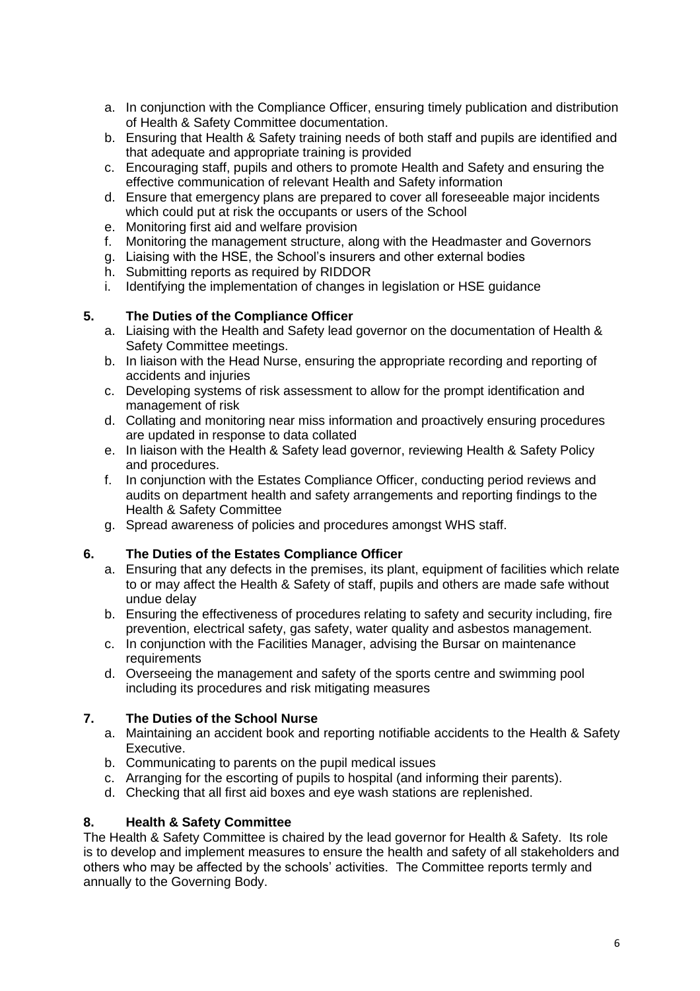- a. In conjunction with the Compliance Officer, ensuring timely publication and distribution of Health & Safety Committee documentation.
- b. Ensuring that Health & Safety training needs of both staff and pupils are identified and that adequate and appropriate training is provided
- c. Encouraging staff, pupils and others to promote Health and Safety and ensuring the effective communication of relevant Health and Safety information
- d. Ensure that emergency plans are prepared to cover all foreseeable major incidents which could put at risk the occupants or users of the School
- e. Monitoring first aid and welfare provision
- f. Monitoring the management structure, along with the Headmaster and Governors
- g. Liaising with the HSE, the School's insurers and other external bodies
- h. Submitting reports as required by RIDDOR
- i. Identifying the implementation of changes in legislation or HSE guidance

## **5. The Duties of the Compliance Officer**

- a. Liaising with the Health and Safety lead governor on the documentation of Health & Safety Committee meetings.
- b. In liaison with the Head Nurse, ensuring the appropriate recording and reporting of accidents and injuries
- c. Developing systems of risk assessment to allow for the prompt identification and management of risk
- d. Collating and monitoring near miss information and proactively ensuring procedures are updated in response to data collated
- e. In liaison with the Health & Safety lead governor, reviewing Health & Safety Policy and procedures.
- f. In conjunction with the Estates Compliance Officer, conducting period reviews and audits on department health and safety arrangements and reporting findings to the Health & Safety Committee
- g. Spread awareness of policies and procedures amongst WHS staff.

## **6. The Duties of the Estates Compliance Officer**

- a. Ensuring that any defects in the premises, its plant, equipment of facilities which relate to or may affect the Health & Safety of staff, pupils and others are made safe without undue delay
- b. Ensuring the effectiveness of procedures relating to safety and security including, fire prevention, electrical safety, gas safety, water quality and asbestos management.
- c. In conjunction with the Facilities Manager, advising the Bursar on maintenance requirements
- d. Overseeing the management and safety of the sports centre and swimming pool including its procedures and risk mitigating measures

## **7. The Duties of the School Nurse**

- a. Maintaining an accident book and reporting notifiable accidents to the Health & Safety Executive.
- b. Communicating to parents on the pupil medical issues
- c. Arranging for the escorting of pupils to hospital (and informing their parents).
- d. Checking that all first aid boxes and eye wash stations are replenished.

## **8. Health & Safety Committee**

The Health & Safety Committee is chaired by the lead governor for Health & Safety. Its role is to develop and implement measures to ensure the health and safety of all stakeholders and others who may be affected by the schools' activities. The Committee reports termly and annually to the Governing Body.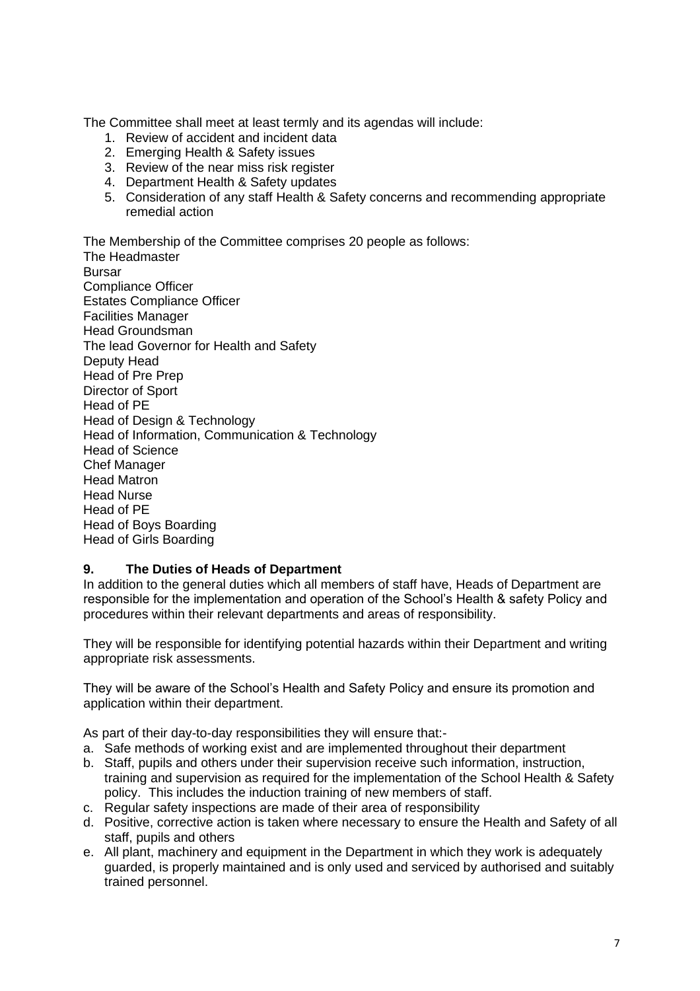The Committee shall meet at least termly and its agendas will include:

- 1. Review of accident and incident data
- 2. Emerging Health & Safety issues
- 3. Review of the near miss risk register
- 4. Department Health & Safety updates
- 5. Consideration of any staff Health & Safety concerns and recommending appropriate remedial action

The Membership of the Committee comprises 20 people as follows:

The Headmaster Bursar Compliance Officer Estates Compliance Officer Facilities Manager Head Groundsman The lead Governor for Health and Safety Deputy Head Head of Pre Prep Director of Sport Head of PE Head of Design & Technology Head of Information, Communication & Technology Head of Science Chef Manager Head Matron Head Nurse Head of PE Head of Boys Boarding Head of Girls Boarding

#### **9. The Duties of Heads of Department**

In addition to the general duties which all members of staff have, Heads of Department are responsible for the implementation and operation of the School's Health & safety Policy and procedures within their relevant departments and areas of responsibility.

They will be responsible for identifying potential hazards within their Department and writing appropriate risk assessments.

They will be aware of the School's Health and Safety Policy and ensure its promotion and application within their department.

As part of their day-to-day responsibilities they will ensure that:-

- a. Safe methods of working exist and are implemented throughout their department
- b. Staff, pupils and others under their supervision receive such information, instruction, training and supervision as required for the implementation of the School Health & Safety policy. This includes the induction training of new members of staff.
- c. Regular safety inspections are made of their area of responsibility
- d. Positive, corrective action is taken where necessary to ensure the Health and Safety of all staff, pupils and others
- e. All plant, machinery and equipment in the Department in which they work is adequately guarded, is properly maintained and is only used and serviced by authorised and suitably trained personnel.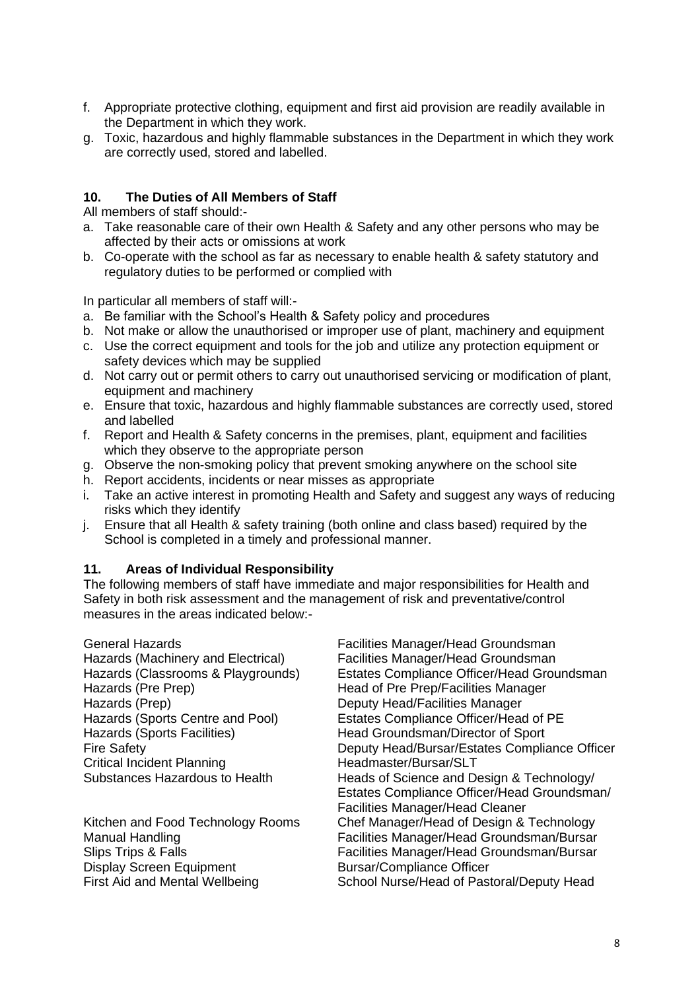- f. Appropriate protective clothing, equipment and first aid provision are readily available in the Department in which they work.
- g. Toxic, hazardous and highly flammable substances in the Department in which they work are correctly used, stored and labelled.

#### **10. The Duties of All Members of Staff**

All members of staff should:-

- a. Take reasonable care of their own Health & Safety and any other persons who may be affected by their acts or omissions at work
- b. Co-operate with the school as far as necessary to enable health & safety statutory and regulatory duties to be performed or complied with

In particular all members of staff will:-

- a. Be familiar with the School's Health & Safety policy and procedures
- b. Not make or allow the unauthorised or improper use of plant, machinery and equipment
- c. Use the correct equipment and tools for the job and utilize any protection equipment or safety devices which may be supplied
- d. Not carry out or permit others to carry out unauthorised servicing or modification of plant, equipment and machinery
- e. Ensure that toxic, hazardous and highly flammable substances are correctly used, stored and labelled
- f. Report and Health & Safety concerns in the premises, plant, equipment and facilities which they observe to the appropriate person
- g. Observe the non-smoking policy that prevent smoking anywhere on the school site
- h. Report accidents, incidents or near misses as appropriate
- i. Take an active interest in promoting Health and Safety and suggest any ways of reducing risks which they identify
- j. Ensure that all Health & safety training (both online and class based) required by the School is completed in a timely and professional manner.

#### **11. Areas of Individual Responsibility**

The following members of staff have immediate and major responsibilities for Health and Safety in both risk assessment and the management of risk and preventative/control measures in the areas indicated below:-

Hazards (Pre Prep) Head of Pre Prep/Facilities Manager Hazards (Prep)<br>Hazards (Sports Centre and Pool) Beatles Compliance Officer/Head Hazards (Sports Facilities) Head Groundsman/Director of Sport Critical Incident Planning Headmaster/Bursar/SLT

Display Screen Equipment Bursar/Compliance Officer First Aid and Mental Wellbeing School Nurse/Head of Pastoral/Deputy Head

General Hazards Facilities Manager/Head Groundsman Hazards (Machinery and Electrical) Facilities Manager/Head Groundsman Hazards (Classrooms & Playgrounds) Estates Compliance Officer/Head Groundsman Estates Compliance Officer/Head of PE Fire Safety Deputy Head/Bursar/Estates Compliance Officer Substances Hazardous to Health Heads of Science and Design & Technology/ Estates Compliance Officer/Head Groundsman/ Facilities Manager/Head Cleaner Kitchen and Food Technology Rooms Chef Manager/Head of Design & Technology Manual Handling Facilities Manager/Head Groundsman/Bursar Slips Trips & Falls Facilities Manager/Head Groundsman/Bursar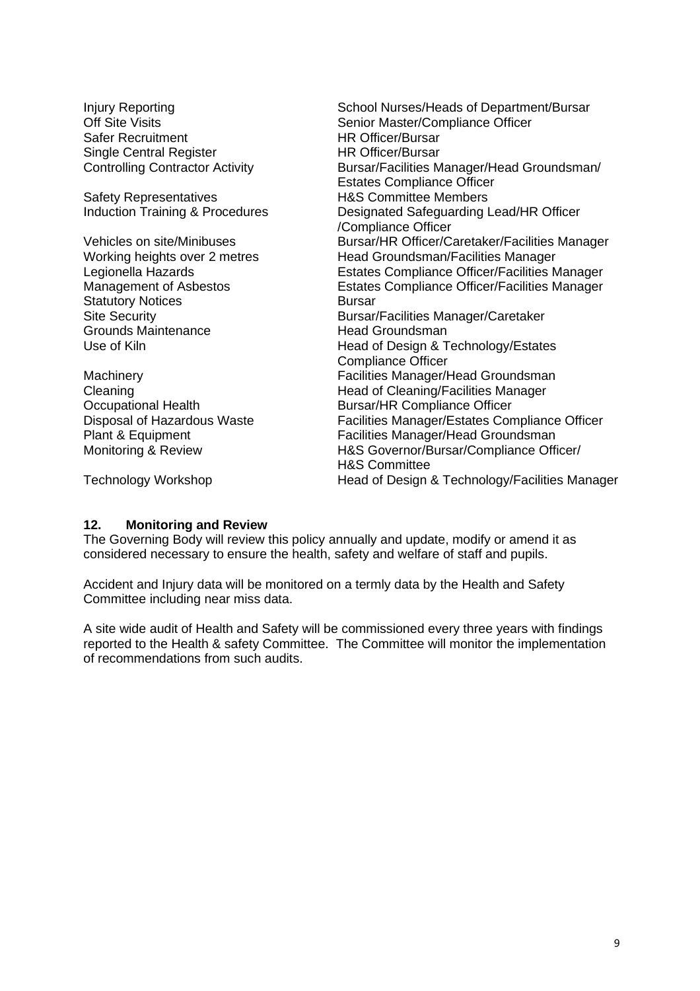Injury Reporting<br>
Off Site Visits<br>
Off Site Visits<br>
Off Site Visits Senior Master/Compliance Officer<br>HR Officer/Bursar Safer Recruitment Single Central Register **HR Officer/Bursar** Controlling Contractor Activity Bursar/Facilities Manager/Head Groundsman/ Estates Compliance Officer Safety Representatives<br>
Induction Training & Procedures<br>
Designated Safeguarding I Designated Safeguarding Lead/HR Officer /Compliance Officer Vehicles on site/Minibuses Bursar/HR Officer/Caretaker/Facilities Manager Working heights over 2 metres Head Groundsman/Facilities Manager Legionella Hazards Estates Compliance Officer/Facilities Manager Management of Asbestos Estates Compliance Officer/Facilities Manager Statutory Notices<br>
Site Security<br>
Bursar/ Bursar/Facilities Manager/Caretaker<br>Head Groundsman Grounds Maintenance<br>Use of Kiln Head of Design & Technology/Estates Compliance Officer Machinery Facilities Manager/Head Groundsman Cleaning Cleaning Cleaning/Facilities Manager Occupational Health Bursar/HR Compliance Officer<br>Disposal of Hazardous Waste Facilities Manager/Estates Cor Disposal of Hazardous Waste Facilities Manager/Estates Compliance Officer<br>Facilities Manager/Head Groundsman Facilities Manager/Head Groundsman Monitoring & Review H&S Governor/Bursar/Compliance Officer/ H&S Committee Technology Workshop **Head of Design & Technology/Facilities Manager** Head of Design & Technology/Facilities Manager

**12. Monitoring and Review**

The Governing Body will review this policy annually and update, modify or amend it as considered necessary to ensure the health, safety and welfare of staff and pupils.

Accident and Injury data will be monitored on a termly data by the Health and Safety Committee including near miss data.

A site wide audit of Health and Safety will be commissioned every three years with findings reported to the Health & safety Committee. The Committee will monitor the implementation of recommendations from such audits.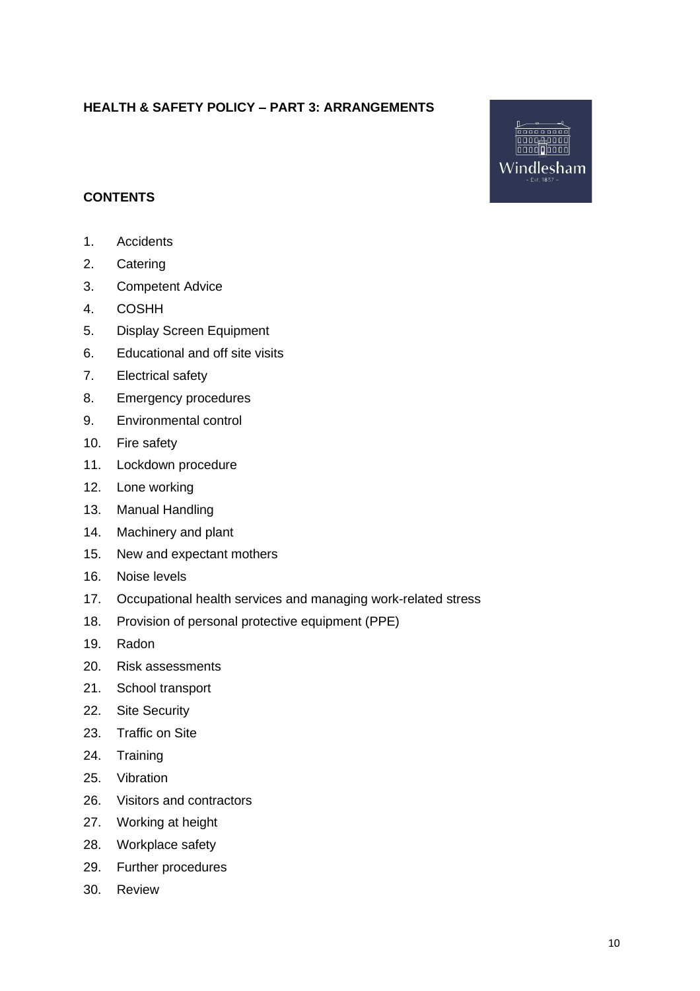# **HEALTH & SAFETY POLICY – PART 3: ARRANGEMENTS**



# **CONTENTS**

- 1. Accidents
- 2. Catering
- 3. Competent Advice
- 4. COSHH
- 5. Display Screen Equipment
- 6. Educational and off site visits
- 7. Electrical safety
- 8. Emergency procedures
- 9. Environmental control
- 10. Fire safety
- 11. Lockdown procedure
- 12. Lone working
- 13. Manual Handling
- 14. Machinery and plant
- 15. New and expectant mothers
- 16. Noise levels
- 17. Occupational health services and managing work-related stress
- 18. Provision of personal protective equipment (PPE)
- 19. Radon
- 20. Risk assessments
- 21. School transport
- 22. Site Security
- 23. Traffic on Site
- 24. Training
- 25. Vibration
- 26. Visitors and contractors
- 27. Working at height
- 28. Workplace safety
- 29. Further procedures
- 30. Review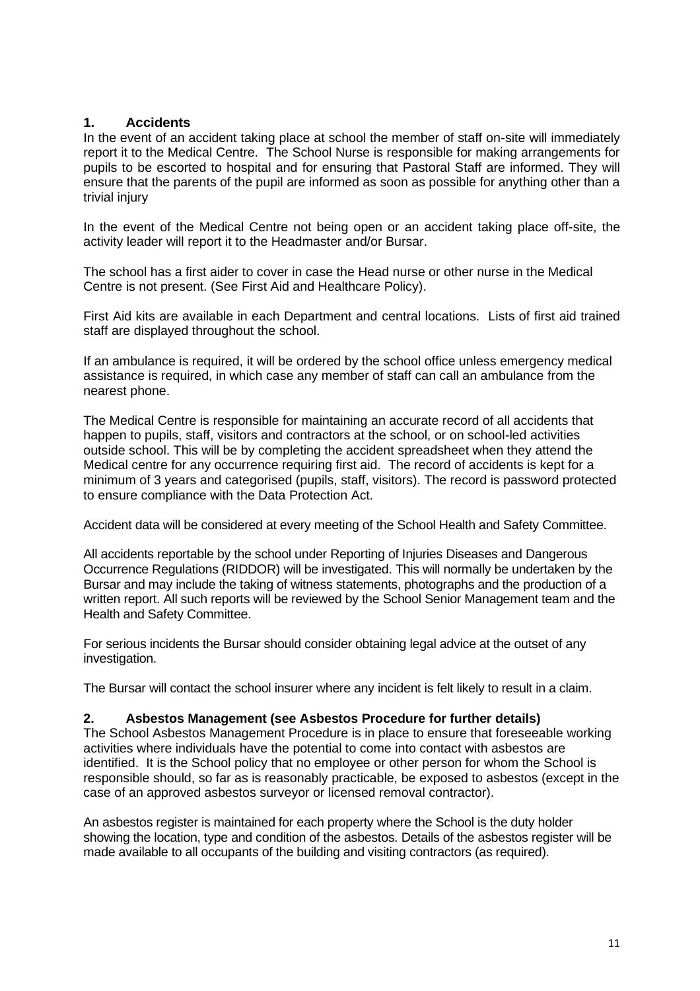## **1. Accidents**

In the event of an accident taking place at school the member of staff on-site will immediately report it to the Medical Centre. The School Nurse is responsible for making arrangements for pupils to be escorted to hospital and for ensuring that Pastoral Staff are informed. They will ensure that the parents of the pupil are informed as soon as possible for anything other than a trivial injury

In the event of the Medical Centre not being open or an accident taking place off-site, the activity leader will report it to the Headmaster and/or Bursar.

The school has a first aider to cover in case the Head nurse or other nurse in the Medical Centre is not present. (See First Aid and Healthcare Policy).

First Aid kits are available in each Department and central locations. Lists of first aid trained staff are displayed throughout the school.

If an ambulance is required, it will be ordered by the school office unless emergency medical assistance is required, in which case any member of staff can call an ambulance from the nearest phone.

The Medical Centre is responsible for maintaining an accurate record of all accidents that happen to pupils, staff, visitors and contractors at the school, or on school-led activities outside school. This will be by completing the accident spreadsheet when they attend the Medical centre for any occurrence requiring first aid. The record of accidents is kept for a minimum of 3 years and categorised (pupils, staff, visitors). The record is password protected to ensure compliance with the Data Protection Act.

Accident data will be considered at every meeting of the School Health and Safety Committee.

All accidents reportable by the school under Reporting of Injuries Diseases and Dangerous Occurrence Regulations (RIDDOR) will be investigated. This will normally be undertaken by the Bursar and may include the taking of witness statements, photographs and the production of a written report. All such reports will be reviewed by the School Senior Management team and the Health and Safety Committee.

For serious incidents the Bursar should consider obtaining legal advice at the outset of any investigation.

The Bursar will contact the school insurer where any incident is felt likely to result in a claim.

#### **2. Asbestos Management (see Asbestos Procedure for further details)**

The School Asbestos Management Procedure is in place to ensure that foreseeable working activities where individuals have the potential to come into contact with asbestos are identified. It is the School policy that no employee or other person for whom the School is responsible should, so far as is reasonably practicable, be exposed to asbestos (except in the case of an approved asbestos surveyor or licensed removal contractor).

An asbestos register is maintained for each property where the School is the duty holder showing the location, type and condition of the asbestos. Details of the asbestos register will be made available to all occupants of the building and visiting contractors (as required).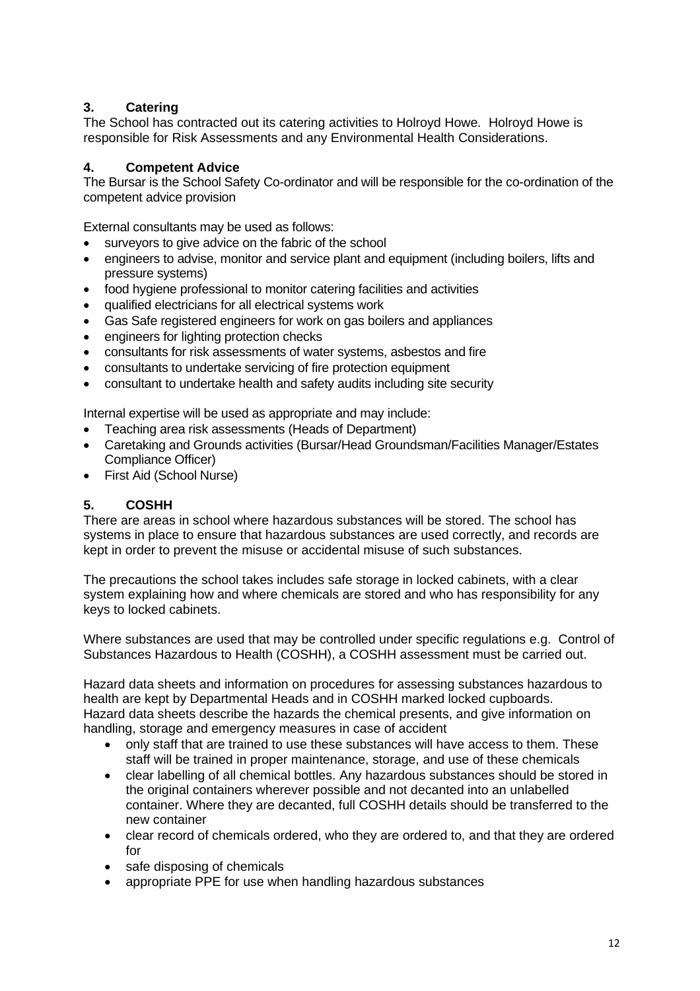# **3. Catering**

The School has contracted out its catering activities to Holroyd Howe. Holroyd Howe is responsible for Risk Assessments and any Environmental Health Considerations.

# **4. Competent Advice**

The Bursar is the School Safety Co-ordinator and will be responsible for the co-ordination of the competent advice provision

External consultants may be used as follows:

- surveyors to give advice on the fabric of the school
- engineers to advise, monitor and service plant and equipment (including boilers, lifts and pressure systems)
- food hygiene professional to monitor catering facilities and activities
- qualified electricians for all electrical systems work
- Gas Safe registered engineers for work on gas boilers and appliances
- engineers for lighting protection checks
- consultants for risk assessments of water systems, asbestos and fire
- consultants to undertake servicing of fire protection equipment
- consultant to undertake health and safety audits including site security

Internal expertise will be used as appropriate and may include:

- Teaching area risk assessments (Heads of Department)
- Caretaking and Grounds activities (Bursar/Head Groundsman/Facilities Manager/Estates Compliance Officer)
- First Aid (School Nurse)

## **5. COSHH**

There are areas in school where hazardous substances will be stored. The school has systems in place to ensure that hazardous substances are used correctly, and records are kept in order to prevent the misuse or accidental misuse of such substances.

The precautions the school takes includes safe storage in locked cabinets, with a clear system explaining how and where chemicals are stored and who has responsibility for any keys to locked cabinets.

Where substances are used that may be controlled under specific regulations e.g. Control of Substances Hazardous to Health (COSHH), a COSHH assessment must be carried out.

Hazard data sheets and information on procedures for assessing substances hazardous to health are kept by Departmental Heads and in COSHH marked locked cupboards. Hazard data sheets describe the hazards the chemical presents, and give information on handling, storage and emergency measures in case of accident

- only staff that are trained to use these substances will have access to them. These staff will be trained in proper maintenance, storage, and use of these chemicals
- clear labelling of all chemical bottles. Any hazardous substances should be stored in the original containers wherever possible and not decanted into an unlabelled container. Where they are decanted, full COSHH details should be transferred to the new container
- clear record of chemicals ordered, who they are ordered to, and that they are ordered for
- safe disposing of chemicals
- appropriate PPE for use when handling hazardous substances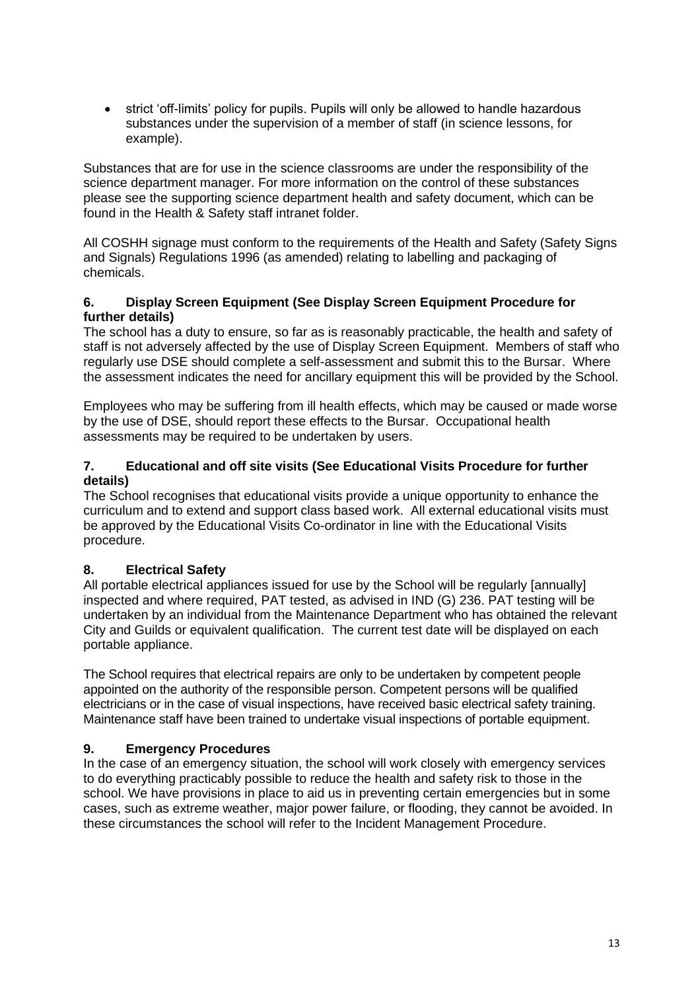• strict 'off-limits' policy for pupils. Pupils will only be allowed to handle hazardous substances under the supervision of a member of staff (in science lessons, for example).

Substances that are for use in the science classrooms are under the responsibility of the science department manager. For more information on the control of these substances please see the supporting science department health and safety document, which can be found in the Health & Safety staff intranet folder.

All COSHH signage must conform to the requirements of the Health and Safety (Safety Signs and Signals) Regulations 1996 (as amended) relating to labelling and packaging of chemicals.

#### **6. Display Screen Equipment (See Display Screen Equipment Procedure for further details)**

The school has a duty to ensure, so far as is reasonably practicable, the health and safety of staff is not adversely affected by the use of Display Screen Equipment. Members of staff who regularly use DSE should complete a self-assessment and submit this to the Bursar. Where the assessment indicates the need for ancillary equipment this will be provided by the School.

Employees who may be suffering from ill health effects, which may be caused or made worse by the use of DSE, should report these effects to the Bursar. Occupational health assessments may be required to be undertaken by users.

#### **7. Educational and off site visits (See Educational Visits Procedure for further details)**

The School recognises that educational visits provide a unique opportunity to enhance the curriculum and to extend and support class based work. All external educational visits must be approved by the Educational Visits Co-ordinator in line with the Educational Visits procedure.

## **8. Electrical Safety**

All portable electrical appliances issued for use by the School will be regularly [annually] inspected and where required, PAT tested, as advised in IND (G) 236. PAT testing will be undertaken by an individual from the Maintenance Department who has obtained the relevant City and Guilds or equivalent qualification. The current test date will be displayed on each portable appliance.

The School requires that electrical repairs are only to be undertaken by competent people appointed on the authority of the responsible person. Competent persons will be qualified electricians or in the case of visual inspections, have received basic electrical safety training. Maintenance staff have been trained to undertake visual inspections of portable equipment.

## **9. Emergency Procedures**

In the case of an emergency situation, the school will work closely with emergency services to do everything practicably possible to reduce the health and safety risk to those in the school. We have provisions in place to aid us in preventing certain emergencies but in some cases, such as extreme weather, major power failure, or flooding, they cannot be avoided. In these circumstances the school will refer to the Incident Management Procedure.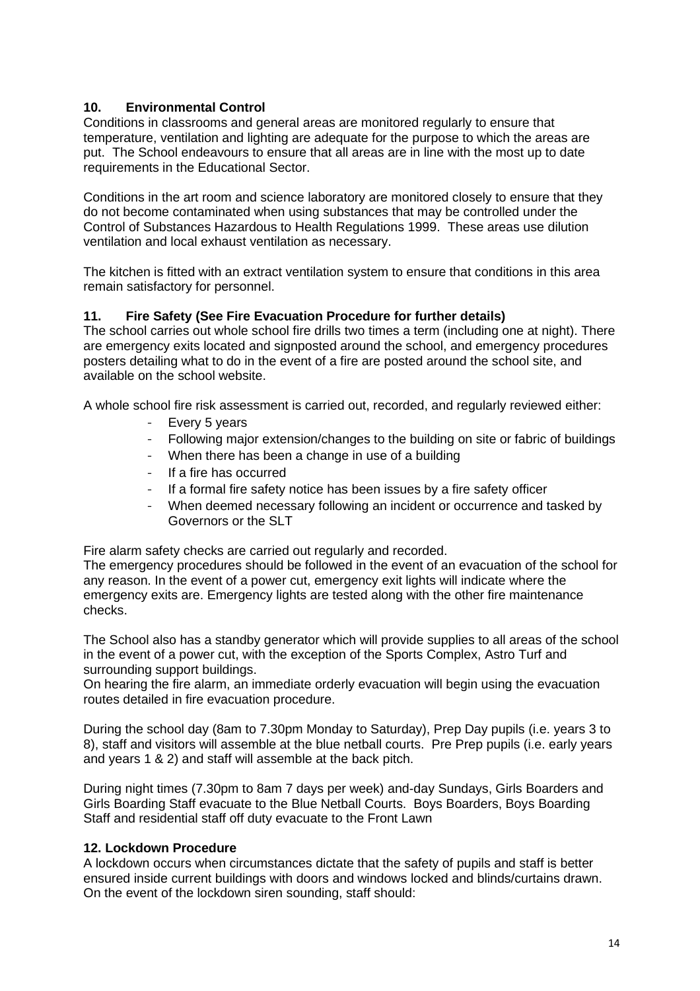# **10. Environmental Control**

Conditions in classrooms and general areas are monitored regularly to ensure that temperature, ventilation and lighting are adequate for the purpose to which the areas are put. The School endeavours to ensure that all areas are in line with the most up to date requirements in the Educational Sector.

Conditions in the art room and science laboratory are monitored closely to ensure that they do not become contaminated when using substances that may be controlled under the Control of Substances Hazardous to Health Regulations 1999. These areas use dilution ventilation and local exhaust ventilation as necessary.

The kitchen is fitted with an extract ventilation system to ensure that conditions in this area remain satisfactory for personnel.

## **11. Fire Safety (See Fire Evacuation Procedure for further details)**

The school carries out whole school fire drills two times a term (including one at night). There are emergency exits located and signposted around the school, and emergency procedures posters detailing what to do in the event of a fire are posted around the school site, and available on the school website.

A whole school fire risk assessment is carried out, recorded, and regularly reviewed either:

- Every 5 years
- Following major extension/changes to the building on site or fabric of buildings
- When there has been a change in use of a building
- If a fire has occurred
- If a formal fire safety notice has been issues by a fire safety officer
- When deemed necessary following an incident or occurrence and tasked by Governors or the SLT

Fire alarm safety checks are carried out regularly and recorded.

The emergency procedures should be followed in the event of an evacuation of the school for any reason. In the event of a power cut, emergency exit lights will indicate where the emergency exits are. Emergency lights are tested along with the other fire maintenance checks.

The School also has a standby generator which will provide supplies to all areas of the school in the event of a power cut, with the exception of the Sports Complex, Astro Turf and surrounding support buildings.

On hearing the fire alarm, an immediate orderly evacuation will begin using the evacuation routes detailed in fire evacuation procedure.

During the school day (8am to 7.30pm Monday to Saturday), Prep Day pupils (i.e. years 3 to 8), staff and visitors will assemble at the blue netball courts. Pre Prep pupils (i.e. early years and years 1 & 2) and staff will assemble at the back pitch.

During night times (7.30pm to 8am 7 days per week) and-day Sundays, Girls Boarders and Girls Boarding Staff evacuate to the Blue Netball Courts. Boys Boarders, Boys Boarding Staff and residential staff off duty evacuate to the Front Lawn

#### **12. Lockdown Procedure**

A lockdown occurs when circumstances dictate that the safety of pupils and staff is better ensured inside current buildings with doors and windows locked and blinds/curtains drawn. On the event of the lockdown siren sounding, staff should: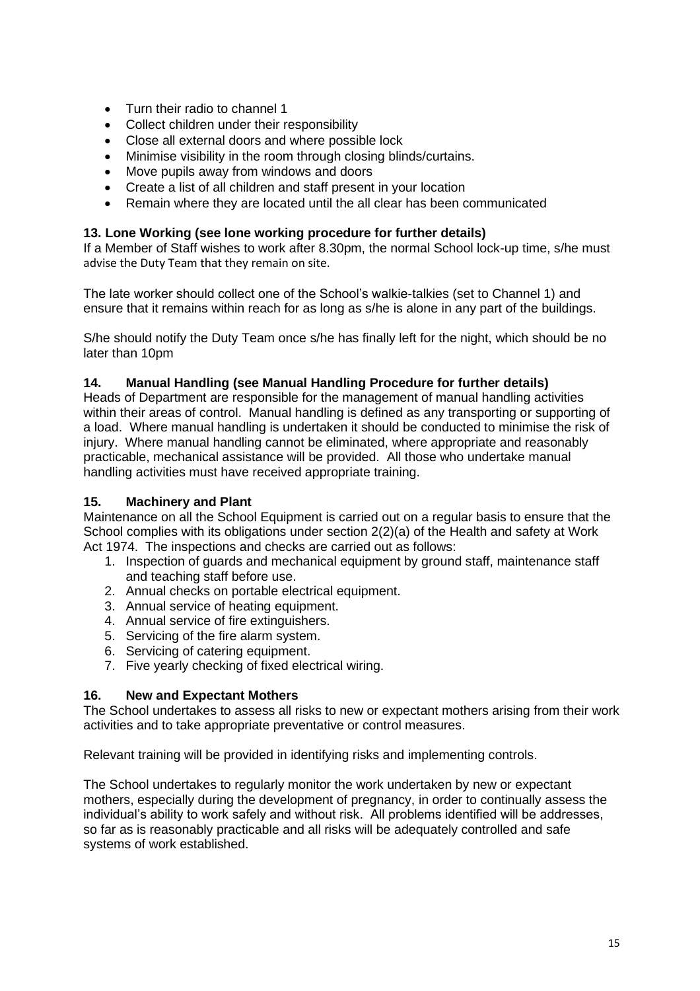- Turn their radio to channel 1
- Collect children under their responsibility
- Close all external doors and where possible lock
- Minimise visibility in the room through closing blinds/curtains.
- Move pupils away from windows and doors
- Create a list of all children and staff present in your location
- Remain where they are located until the all clear has been communicated

#### **13. Lone Working (see lone working procedure for further details)**

If a Member of Staff wishes to work after 8.30pm, the normal School lock-up time, s/he must advise the Duty Team that they remain on site.

The late worker should collect one of the School's walkie-talkies (set to Channel 1) and ensure that it remains within reach for as long as s/he is alone in any part of the buildings.

S/he should notify the Duty Team once s/he has finally left for the night, which should be no later than 10pm

## **14. Manual Handling (see Manual Handling Procedure for further details)**

Heads of Department are responsible for the management of manual handling activities within their areas of control. Manual handling is defined as any transporting or supporting of a load. Where manual handling is undertaken it should be conducted to minimise the risk of injury. Where manual handling cannot be eliminated, where appropriate and reasonably practicable, mechanical assistance will be provided. All those who undertake manual handling activities must have received appropriate training.

#### **15. Machinery and Plant**

Maintenance on all the School Equipment is carried out on a regular basis to ensure that the School complies with its obligations under section 2(2)(a) of the Health and safety at Work Act 1974. The inspections and checks are carried out as follows:

- 1. Inspection of guards and mechanical equipment by ground staff, maintenance staff and teaching staff before use.
- 2. Annual checks on portable electrical equipment.
- 3. Annual service of heating equipment.
- 4. Annual service of fire extinguishers.
- 5. Servicing of the fire alarm system.
- 6. Servicing of catering equipment.
- 7. Five yearly checking of fixed electrical wiring.

#### **16. New and Expectant Mothers**

The School undertakes to assess all risks to new or expectant mothers arising from their work activities and to take appropriate preventative or control measures.

Relevant training will be provided in identifying risks and implementing controls.

The School undertakes to regularly monitor the work undertaken by new or expectant mothers, especially during the development of pregnancy, in order to continually assess the individual's ability to work safely and without risk. All problems identified will be addresses, so far as is reasonably practicable and all risks will be adequately controlled and safe systems of work established.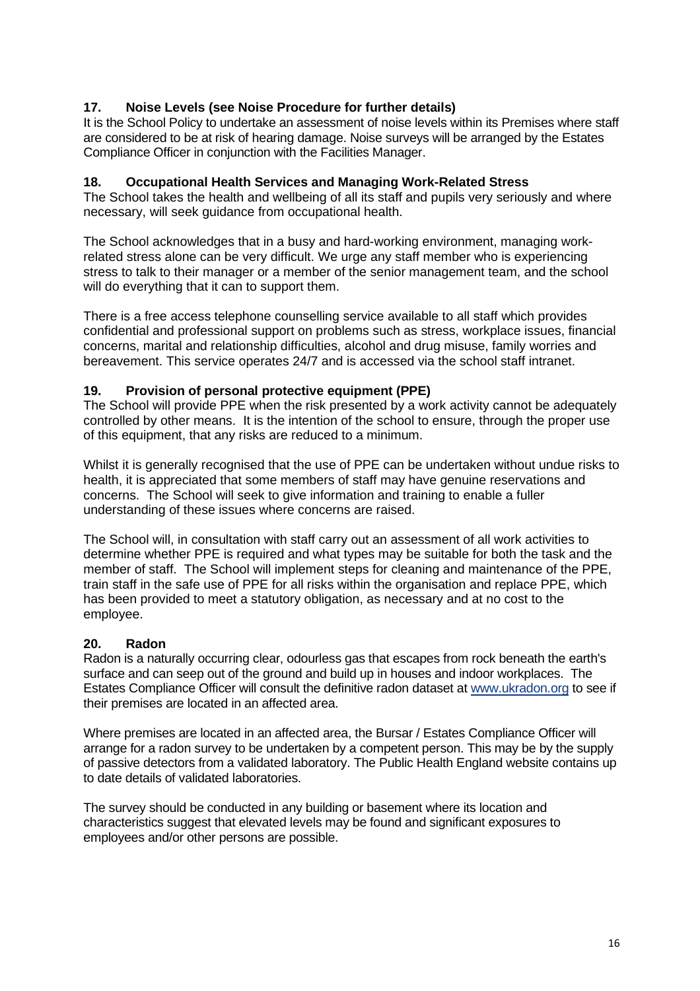# **17. Noise Levels (see Noise Procedure for further details)**

It is the School Policy to undertake an assessment of noise levels within its Premises where staff are considered to be at risk of hearing damage. Noise surveys will be arranged by the Estates Compliance Officer in conjunction with the Facilities Manager.

## **18. Occupational Health Services and Managing Work-Related Stress**

The School takes the health and wellbeing of all its staff and pupils very seriously and where necessary, will seek guidance from occupational health.

The School acknowledges that in a busy and hard-working environment, managing workrelated stress alone can be very difficult. We urge any staff member who is experiencing stress to talk to their manager or a member of the senior management team, and the school will do everything that it can to support them.

There is a free access telephone counselling service available to all staff which provides confidential and professional support on problems such as stress, workplace issues, financial concerns, marital and relationship difficulties, alcohol and drug misuse, family worries and bereavement. This service operates 24/7 and is accessed via the school staff intranet.

#### **19. Provision of personal protective equipment (PPE)**

The School will provide PPE when the risk presented by a work activity cannot be adequately controlled by other means. It is the intention of the school to ensure, through the proper use of this equipment, that any risks are reduced to a minimum.

Whilst it is generally recognised that the use of PPE can be undertaken without undue risks to health, it is appreciated that some members of staff may have genuine reservations and concerns. The School will seek to give information and training to enable a fuller understanding of these issues where concerns are raised.

The School will, in consultation with staff carry out an assessment of all work activities to determine whether PPE is required and what types may be suitable for both the task and the member of staff. The School will implement steps for cleaning and maintenance of the PPE, train staff in the safe use of PPE for all risks within the organisation and replace PPE, which has been provided to meet a statutory obligation, as necessary and at no cost to the employee.

## **20. Radon**

Radon is a naturally occurring clear, odourless gas that escapes from rock beneath the earth's surface and can seep out of the ground and build up in houses and indoor workplaces. The Estates Compliance Officer will consult the definitive radon dataset at [www.ukradon.org](http://www.ukradon.org/) to see if their premises are located in an affected area.

Where premises are located in an affected area, the Bursar / Estates Compliance Officer will arrange for a radon survey to be undertaken by a competent person. This may be by the supply of passive detectors from a validated laboratory. The Public Health England website contains up to date details of validated laboratories.

The survey should be conducted in any building or basement where its location and characteristics suggest that elevated levels may be found and significant exposures to employees and/or other persons are possible.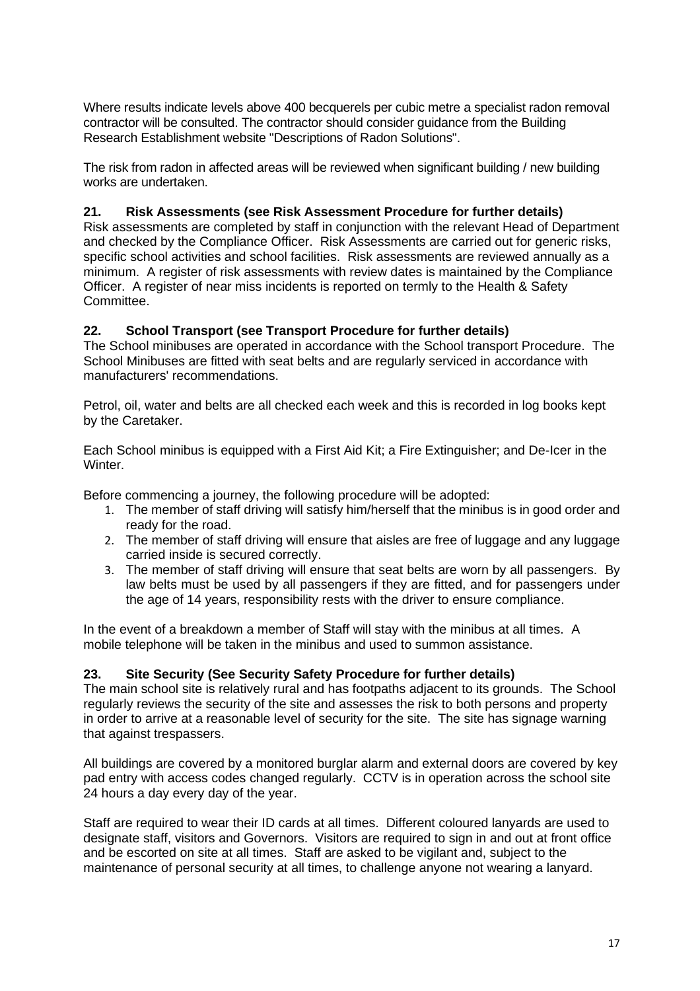Where results indicate levels above 400 becquerels per cubic metre a specialist radon removal contractor will be consulted. The contractor should consider guidance from the Building Research Establishment website "Descriptions of Radon Solutions".

The risk from radon in affected areas will be reviewed when significant building / new building works are undertaken.

## **21. Risk Assessments (see Risk Assessment Procedure for further details)**

Risk assessments are completed by staff in conjunction with the relevant Head of Department and checked by the Compliance Officer. Risk Assessments are carried out for generic risks, specific school activities and school facilities. Risk assessments are reviewed annually as a minimum. A register of risk assessments with review dates is maintained by the Compliance Officer. A register of near miss incidents is reported on termly to the Health & Safety Committee.

#### **22. School Transport (see Transport Procedure for further details)**

The School minibuses are operated in accordance with the School transport Procedure. The School Minibuses are fitted with seat belts and are regularly serviced in accordance with manufacturers' recommendations.

Petrol, oil, water and belts are all checked each week and this is recorded in log books kept by the Caretaker.

Each School minibus is equipped with a First Aid Kit; a Fire Extinguisher; and De-Icer in the Winter.

Before commencing a journey, the following procedure will be adopted:

- 1. The member of staff driving will satisfy him/herself that the minibus is in good order and ready for the road.
- 2. The member of staff driving will ensure that aisles are free of luggage and any luggage carried inside is secured correctly.
- 3. The member of staff driving will ensure that seat belts are worn by all passengers. By law belts must be used by all passengers if they are fitted, and for passengers under the age of 14 years, responsibility rests with the driver to ensure compliance.

In the event of a breakdown a member of Staff will stay with the minibus at all times. A mobile telephone will be taken in the minibus and used to summon assistance.

#### **23. Site Security (See Security Safety Procedure for further details)**

The main school site is relatively rural and has footpaths adjacent to its grounds. The School regularly reviews the security of the site and assesses the risk to both persons and property in order to arrive at a reasonable level of security for the site. The site has signage warning that against trespassers.

All buildings are covered by a monitored burglar alarm and external doors are covered by key pad entry with access codes changed regularly. CCTV is in operation across the school site 24 hours a day every day of the year.

Staff are required to wear their ID cards at all times. Different coloured lanyards are used to designate staff, visitors and Governors. Visitors are required to sign in and out at front office and be escorted on site at all times. Staff are asked to be vigilant and, subject to the maintenance of personal security at all times, to challenge anyone not wearing a lanyard.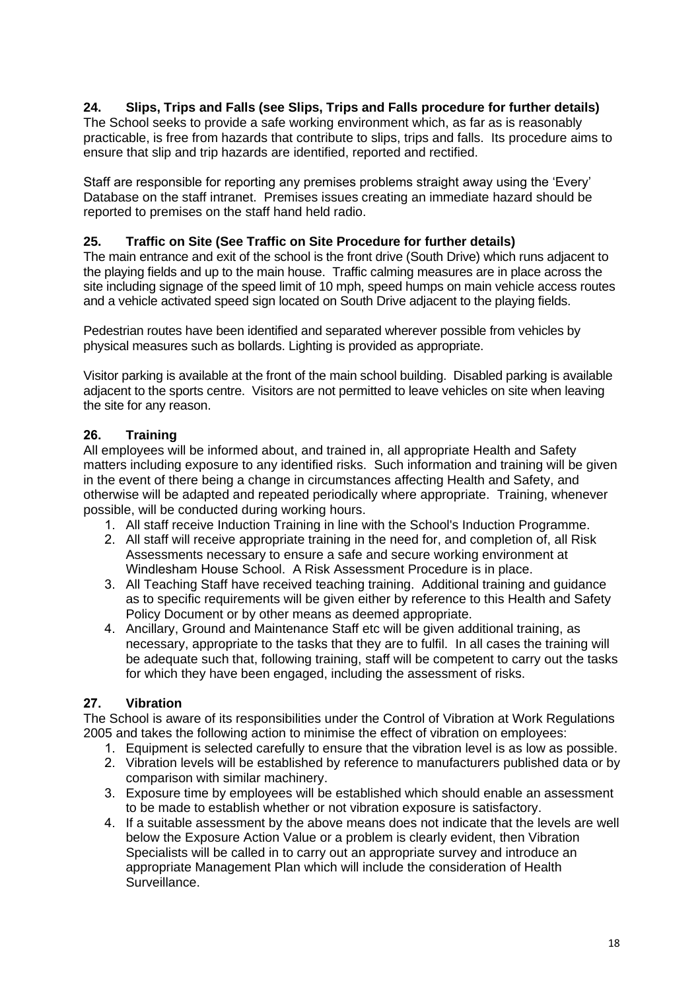# **24. Slips, Trips and Falls (see Slips, Trips and Falls procedure for further details)**

The School seeks to provide a safe working environment which, as far as is reasonably practicable, is free from hazards that contribute to slips, trips and falls. Its procedure aims to ensure that slip and trip hazards are identified, reported and rectified.

Staff are responsible for reporting any premises problems straight away using the 'Every' Database on the staff intranet. Premises issues creating an immediate hazard should be reported to premises on the staff hand held radio.

## **25. Traffic on Site (See Traffic on Site Procedure for further details)**

The main entrance and exit of the school is the front drive (South Drive) which runs adjacent to the playing fields and up to the main house. Traffic calming measures are in place across the site including signage of the speed limit of 10 mph, speed humps on main vehicle access routes and a vehicle activated speed sign located on South Drive adjacent to the playing fields.

Pedestrian routes have been identified and separated wherever possible from vehicles by physical measures such as bollards. Lighting is provided as appropriate.

Visitor parking is available at the front of the main school building. Disabled parking is available adjacent to the sports centre. Visitors are not permitted to leave vehicles on site when leaving the site for any reason.

## **26. Training**

All employees will be informed about, and trained in, all appropriate Health and Safety matters including exposure to any identified risks. Such information and training will be given in the event of there being a change in circumstances affecting Health and Safety, and otherwise will be adapted and repeated periodically where appropriate. Training, whenever possible, will be conducted during working hours.

- 1. All staff receive Induction Training in line with the School's Induction Programme.
- 2. All staff will receive appropriate training in the need for, and completion of, all Risk Assessments necessary to ensure a safe and secure working environment at Windlesham House School. A Risk Assessment Procedure is in place.
- 3. All Teaching Staff have received teaching training. Additional training and guidance as to specific requirements will be given either by reference to this Health and Safety Policy Document or by other means as deemed appropriate.
- 4. Ancillary, Ground and Maintenance Staff etc will be given additional training, as necessary, appropriate to the tasks that they are to fulfil. In all cases the training will be adequate such that, following training, staff will be competent to carry out the tasks for which they have been engaged, including the assessment of risks.

## **27. Vibration**

The School is aware of its responsibilities under the Control of Vibration at Work Regulations 2005 and takes the following action to minimise the effect of vibration on employees:

- 1. Equipment is selected carefully to ensure that the vibration level is as low as possible.
- 2. Vibration levels will be established by reference to manufacturers published data or by comparison with similar machinery.
- 3. Exposure time by employees will be established which should enable an assessment to be made to establish whether or not vibration exposure is satisfactory.
- 4. If a suitable assessment by the above means does not indicate that the levels are well below the Exposure Action Value or a problem is clearly evident, then Vibration Specialists will be called in to carry out an appropriate survey and introduce an appropriate Management Plan which will include the consideration of Health Surveillance.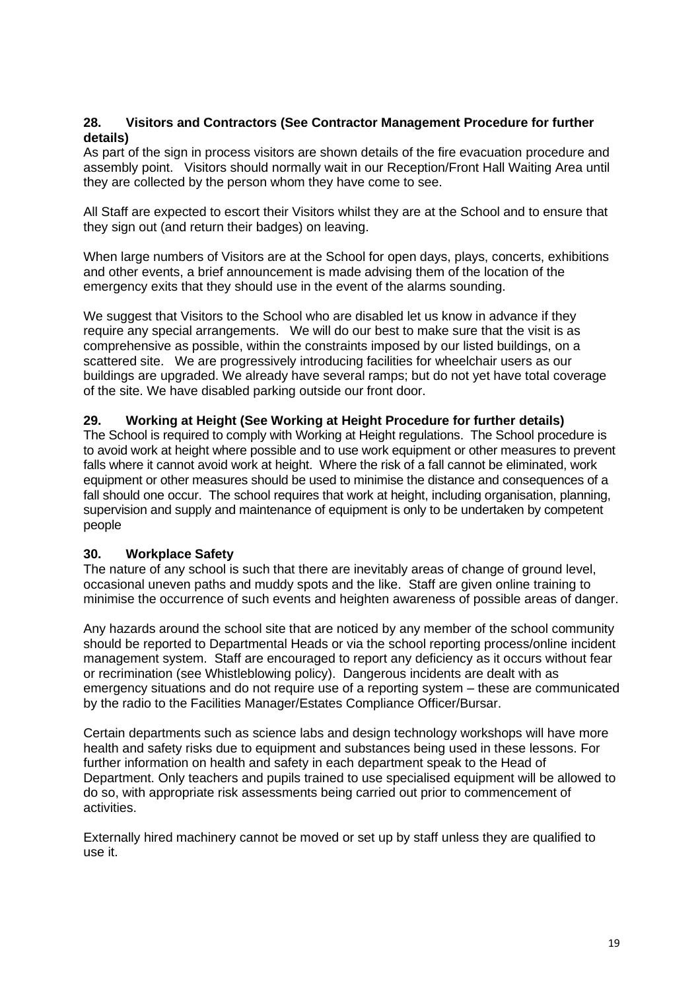#### **28. Visitors and Contractors (See Contractor Management Procedure for further details)**

As part of the sign in process visitors are shown details of the fire evacuation procedure and assembly point. Visitors should normally wait in our Reception/Front Hall Waiting Area until they are collected by the person whom they have come to see.

All Staff are expected to escort their Visitors whilst they are at the School and to ensure that they sign out (and return their badges) on leaving.

When large numbers of Visitors are at the School for open days, plays, concerts, exhibitions and other events, a brief announcement is made advising them of the location of the emergency exits that they should use in the event of the alarms sounding.

We suggest that Visitors to the School who are disabled let us know in advance if they require any special arrangements. We will do our best to make sure that the visit is as comprehensive as possible, within the constraints imposed by our listed buildings, on a scattered site. We are progressively introducing facilities for wheelchair users as our buildings are upgraded. We already have several ramps; but do not yet have total coverage of the site. We have disabled parking outside our front door.

## **29. Working at Height (See Working at Height Procedure for further details)**

The School is required to comply with Working at Height regulations. The School procedure is to avoid work at height where possible and to use work equipment or other measures to prevent falls where it cannot avoid work at height. Where the risk of a fall cannot be eliminated, work equipment or other measures should be used to minimise the distance and consequences of a fall should one occur. The school requires that work at height, including organisation, planning, supervision and supply and maintenance of equipment is only to be undertaken by competent people

#### **30. Workplace Safety**

The nature of any school is such that there are inevitably areas of change of ground level, occasional uneven paths and muddy spots and the like. Staff are given online training to minimise the occurrence of such events and heighten awareness of possible areas of danger.

Any hazards around the school site that are noticed by any member of the school community should be reported to Departmental Heads or via the school reporting process/online incident management system. Staff are encouraged to report any deficiency as it occurs without fear or recrimination (see Whistleblowing policy). Dangerous incidents are dealt with as emergency situations and do not require use of a reporting system – these are communicated by the radio to the Facilities Manager/Estates Compliance Officer/Bursar.

Certain departments such as science labs and design technology workshops will have more health and safety risks due to equipment and substances being used in these lessons. For further information on health and safety in each department speak to the Head of Department. Only teachers and pupils trained to use specialised equipment will be allowed to do so, with appropriate risk assessments being carried out prior to commencement of activities.

Externally hired machinery cannot be moved or set up by staff unless they are qualified to use it.